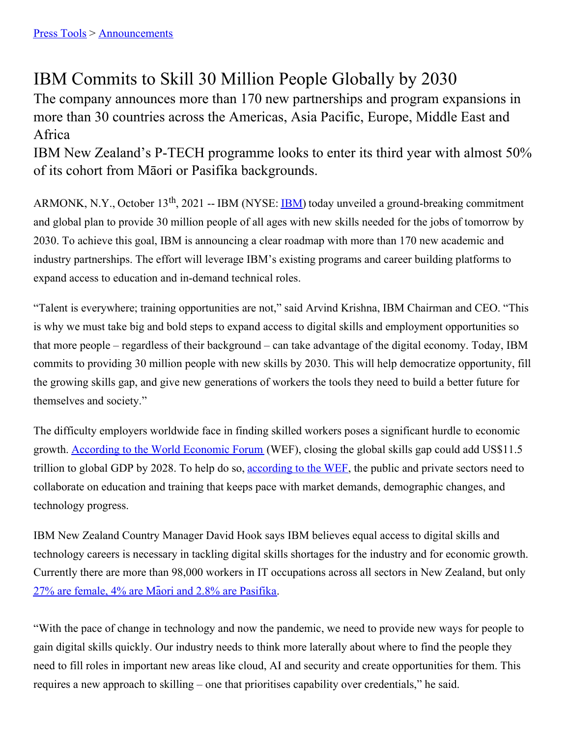# IBM Commits to Skill 30 Million People Globally by 2030

The company announces more than 170 new partnerships and program expansions in more than 30 countries across the Americas, Asia Pacific, Europe, Middle East and Africa

IBM New Zealand's P-TECH programme looks to enter its third year with almost 50% of its cohort from Māori or Pasifika backgrounds.

ARMONK, N.Y., October 13<sup>th</sup>, 2021 -- [IBM](https://c212.net/c/link/?t=0&l=en&o=3228384-1&h=3499104849&u=http%3A%2F%2Fwww.ibm.com%2Finvestor&a=IBM) (NYSE: **IBM**) today unveiled a ground-breaking commitment and global plan to provide 30 million people of all ages with new skills needed for the jobs of tomorrow by 2030. To achieve this goal, IBM is announcing a clear roadmap with more than 170 new academic and industry partnerships. The effort will leverage IBM's existing programs and career building platforms to expand access to education and in-demand technical roles.

"Talent is everywhere; training opportunities are not," said Arvind Krishna, IBM Chairman and CEO. "This is why we must take big and bold steps to expand access to digital skills and employment opportunities so that more people – regardless of their background – can take advantage of the digital economy. Today, IBM commits to providing 30 million people with new skills by 2030. This will help democratize opportunity, fill the growing skills gap, and give new generations of workers the tools they need to build a better future for themselves and society."

The difficulty employers worldwide face in finding skilled workers poses a significant hurdle to economic growth. [According](https://www.weforum.org/projects/closing-the-skills-gap-accelerators) to the World Economic Forum (WEF), closing the global skills gap could add US\$11.5 trillion to global GDP by 2028. To help do so, [according](https://www.weforum.org/projects/closing-the-skills-gap-accelerators) to the WEF, the public and private sectors need to collaborate on education and training that keeps pace with market demands, demographic changes, and technology progress.

IBM New Zealand Country Manager David Hook says IBM believes equal access to digital skills and technology careers is necessary in tackling digital skills shortages for the industry and for economic growth. Currently there are more than 98,000 workers in IT occupations across all sectors in New Zealand, but only 27% are female, 4% are Māori and 2.8% are [Pasifika](https://nztech.org.nz/wp-content/uploads/sites/8/2021/01/Digital-Skills-Aotearoa-Report-2021_online.pdf).

"With the pace of change in technology and now the pandemic, we need to provide new ways for people to gain digital skills quickly. Our industry needs to think more laterally about where to find the people they need to fill roles in important new areas like cloud, AI and security and create opportunities for them. This requires a new approach to skilling – one that prioritises capability over credentials," he said.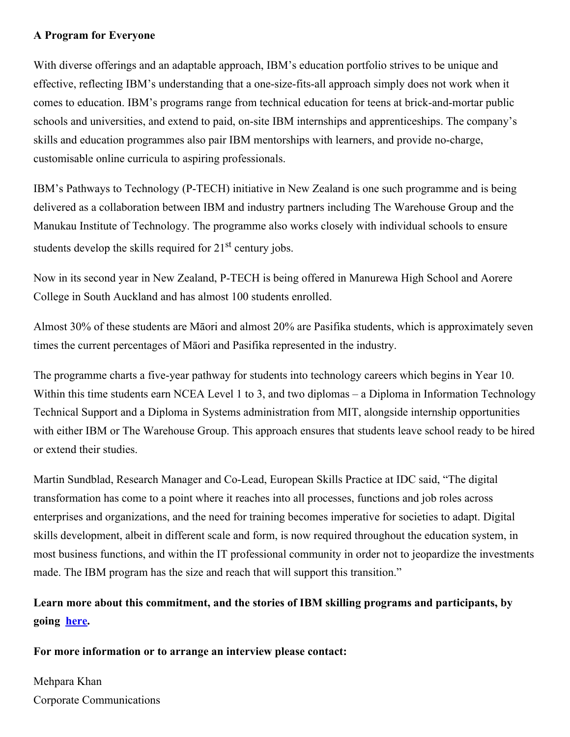### **A Program for Everyone**

With diverse offerings and an adaptable approach, IBM's education portfolio strives to be unique and effective, reflecting IBM's understanding that a one-size-fits-all approach simply does not work when it comes to education. IBM's programs range from technical education for teens at brick-and-mortar public schools and universities, and extend to paid, on-site IBM internships and apprenticeships. The company's skills and education programmes also pair IBM mentorships with learners, and provide no-charge, customisable online curricula to aspiring professionals.

IBM's Pathways to Technology (P-TECH) initiative in New Zealand is one such programme and is being delivered as a collaboration between IBM and industry partners including The Warehouse Group and the Manukau Institute of Technology. The programme also works closely with individual schools to ensure students develop the skills required for  $21<sup>st</sup>$  century jobs.

Now in its second year in New Zealand, P-TECH is being offered in Manurewa High School and Aorere College in South Auckland and has almost 100 students enrolled.

Almost 30% of these students are Māori and almost 20% are Pasifika students, which is approximately seven times the current percentages of Māori and Pasifika represented in the industry.

The programme charts a five-year pathway for students into technology careers which begins in Year 10. Within this time students earn NCEA Level 1 to 3, and two diplomas – a Diploma in Information Technology Technical Support and a Diploma in Systems administration from MIT, alongside internship opportunities with either IBM or The Warehouse Group. This approach ensures that students leave school ready to be hired or extend their studies.

Martin Sundblad, Research Manager and Co-Lead, European Skills Practice at IDC said, "The digital transformation has come to a point where it reaches into all processes, functions and job roles across enterprises and organizations, and the need for training becomes imperative for societies to adapt. Digital skills development, albeit in different scale and form, is now required throughout the education system, in most business functions, and within the IT professional community in order not to jeopardize the investments made. The IBM program has the size and reach that will support this transition."

## **Learn more about this commitment, and the stories of IBM skilling programs and participants, by going [here.](https://www.ibm.com/skills/2030)**

#### **For more information or to arrange an interview please contact:**

## Mehpara Khan Corporate Communications